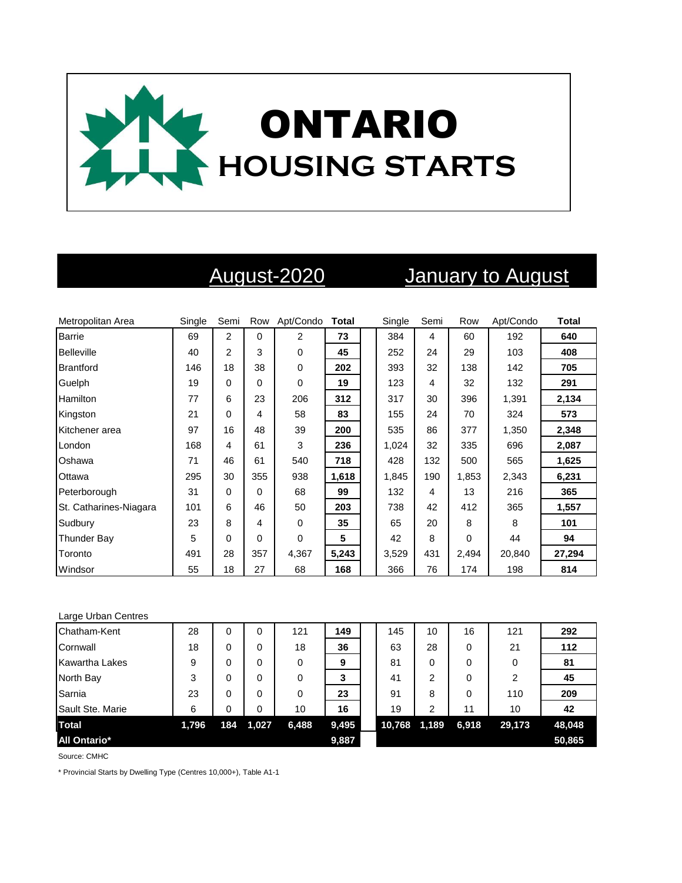

# August-2020 January to August

| Metropolitan Area      | Single | Semi           | Row      | Apt/Condo      | Total | Single | Semi | Row      | Apt/Condo | <b>Total</b> |
|------------------------|--------|----------------|----------|----------------|-------|--------|------|----------|-----------|--------------|
| <b>Barrie</b>          | 69     | $\overline{2}$ | $\Omega$ | $\overline{2}$ | 73    | 384    | 4    | 60       | 192       | 640          |
| <b>Belleville</b>      | 40     | $\overline{2}$ | 3        | $\Omega$       | 45    | 252    | 24   | 29       | 103       | 408          |
| <b>Brantford</b>       | 146    | 18             | 38       | $\mathbf 0$    | 202   | 393    | 32   | 138      | 142       | 705          |
| Guelph                 | 19     | 0              | 0        | $\mathbf 0$    | 19    | 123    | 4    | 32       | 132       | 291          |
| <b>Hamilton</b>        | 77     | 6              | 23       | 206            | 312   | 317    | 30   | 396      | 1,391     | 2,134        |
| Kingston               | 21     | 0              | 4        | 58             | 83    | 155    | 24   | 70       | 324       | 573          |
| Kitchener area         | 97     | 16             | 48       | 39             | 200   | 535    | 86   | 377      | 1,350     | 2,348        |
| London                 | 168    | 4              | 61       | 3              | 236   | 1,024  | 32   | 335      | 696       | 2,087        |
| Oshawa                 | 71     | 46             | 61       | 540            | 718   | 428    | 132  | 500      | 565       | 1,625        |
| Ottawa                 | 295    | 30             | 355      | 938            | 1,618 | 1,845  | 190  | 1,853    | 2,343     | 6,231        |
| Peterborough           | 31     | $\Omega$       | $\Omega$ | 68             | 99    | 132    | 4    | 13       | 216       | 365          |
| St. Catharines-Niagara | 101    | 6              | 46       | 50             | 203   | 738    | 42   | 412      | 365       | 1,557        |
| Sudbury                | 23     | 8              | 4        | $\mathbf 0$    | 35    | 65     | 20   | 8        | 8         | 101          |
| <b>Thunder Bay</b>     | 5      | $\Omega$       | 0        | $\Omega$       | 5     | 42     | 8    | $\Omega$ | 44        | 94           |
| Toronto                | 491    | 28             | 357      | 4,367          | 5,243 | 3,529  | 431  | 2,494    | 20,840    | 27,294       |
| Windsor                | 55     | 18             | 27       | 68             | 168   | 366    | 76   | 174      | 198       | 814          |

### Large Urban Centres

| Chatham-Kent          | 28    | 0   | 0     | 121   | 149   | 145    | 10    | 16    | 121            | 292    |
|-----------------------|-------|-----|-------|-------|-------|--------|-------|-------|----------------|--------|
| Cornwall              | 18    | 0   | 0     | 18    | 36    | 63     | 28    | 0     | 21             | 112    |
| <b>Kawartha Lakes</b> | 9     | 0   | 0     | 0     | 9     | 81     | 0     | 0     | 0              | 81     |
| North Bay             | 3     | 0   | 0     | 0     | 3     | 41     | 2     | 0     | $\overline{2}$ | 45     |
| Sarnia                | 23    | 0   | 0     | 0     | 23    | 91     | 8     | 0     | 110            | 209    |
| Sault Ste. Marie      | 6     | 0   | 0     | 10    | 16    | 19     | 2     | 11    | 10             | 42     |
| <b>Total</b>          | 1,796 | 184 | 1,027 | 6,488 | 9,495 | 10,768 | 1,189 | 6,918 | 29,173         | 48,048 |
| <b>All Ontario*</b>   |       |     |       |       | 9,887 |        |       |       |                | 50,865 |

Source: CMHC

\* Provincial Starts by Dwelling Type (Centres 10,000+), Table A1-1